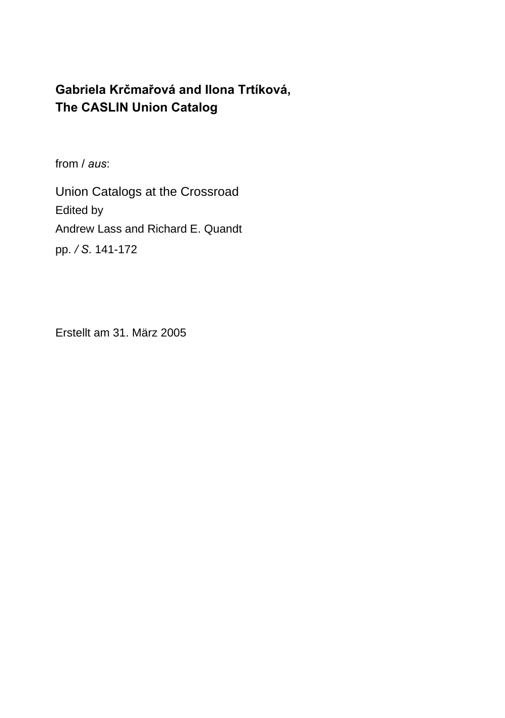# **Gabriela Krčmařová and Ilona Trtíková, The CASLIN Union Catalog**

from / *aus*:

Union Catalogs at the Crossroad Edited by Andrew Lass and Richard E. Quandt pp. */ S*. 141-172

Erstellt am 31. März 2005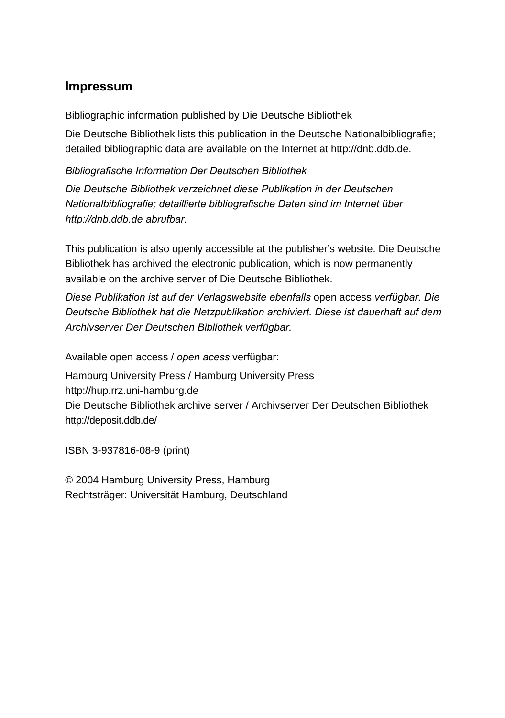#### **Impressum**

Bibliographic information published by Die Deutsche Bibliothek

Die Deutsche Bibliothek lists this publication in the Deutsche Nationalbibliografie; detailed bibliographic data are available on the Internet at http://dnb.ddb.de.

*Bibliografische Information Der Deutschen Bibliothek* 

*Die Deutsche Bibliothek verzeichnet diese Publikation in der Deutschen Nationalbibliografie; detaillierte bibliografische Daten sind im Internet über http://dnb.ddb.de abrufbar.*

This publication is also openly accessible at the publisher's website. Die Deutsche Bibliothek has archived the electronic publication, which is now permanently available on the archive server of Die Deutsche Bibliothek.

**Diese Publikation ist auf der Verlagswebsite ebenfalls open access verfügbar. Die** *Deutsche Bibliothek hat die Netzpublikation archiviert. Diese ist dauerhaft auf dem*  Archivserver Der Deutschen Bibliothek verfügbar.

Available open access / *open acess* verfügbar:

Hamburg University Press / Hamburg University Press http://hup.rrz.uni-hamburg.de Die Deutsche Bibliothek archive server / Archivserver Der Deutschen Bibliothek http://deposit.ddb.de/

ISBN 3-937816-08-9 (print)

© 2004 Hamburg University Press, Hamburg Rechtsträger: Universität Hamburg, Deutschland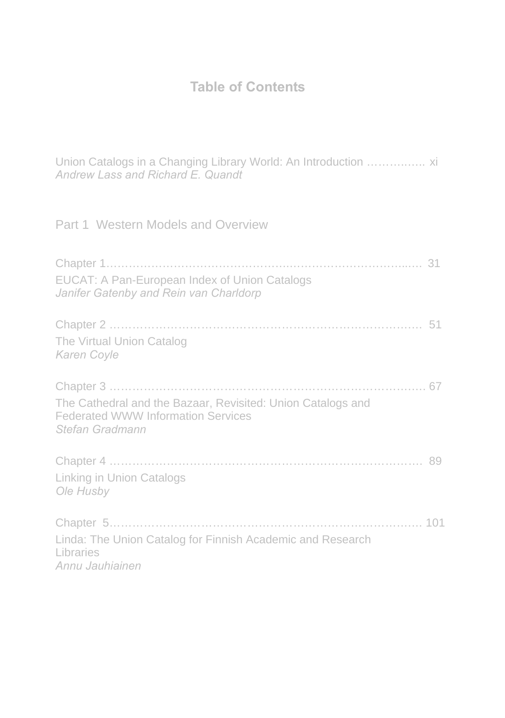# **Table of Contents**

Union Catalogs in a Changing Library World: An Introduction ………..….. xi *Andrew Lass and Richard E. Quandt* 

Part 1 Western Models and Overview

| EUCAT: A Pan-European Index of Union Catalogs<br>Janifer Gatenby and Rein van Charldorp                                     |  |
|-----------------------------------------------------------------------------------------------------------------------------|--|
| The Virtual Union Catalog<br>Karen Coyle                                                                                    |  |
| The Cathedral and the Bazaar, Revisited: Union Catalogs and<br><b>Federated WWW Information Services</b><br>Stefan Gradmann |  |
| <b>Linking in Union Catalogs</b><br>Ole Husby                                                                               |  |
| Linda: The Union Catalog for Finnish Academic and Research<br>Libraries<br>Annu Jauhiainen                                  |  |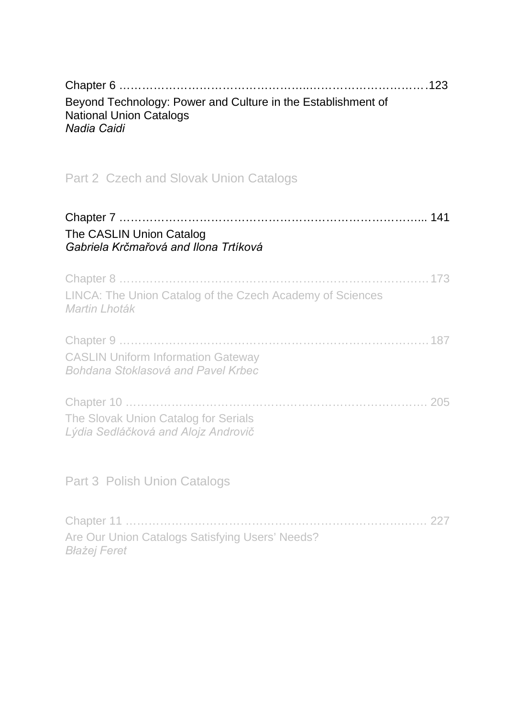| Beyond Technology: Power and Culture in the Establishment of<br><b>National Union Catalogs</b><br>Nadia Caidi |
|---------------------------------------------------------------------------------------------------------------|
| Part 2 Czech and Slovak Union Catalogs                                                                        |
| The CASLIN Union Catalog<br>Gabriela Krčmařová and Ilona Trtíková                                             |
| Chapter 8<br>LINCA: The Union Catalog of the Czech Academy of Sciences<br>Martin Lhoták                       |
| <b>CASLIN Uniform Information Gateway</b><br>Bohdana Stoklasová and Pavel Krbec                               |
| The Slovak Union Catalog for Serials<br>Lýdia Sedláčková and Alojz Androvič                                   |
| Part 3 Polish Union Catalogs                                                                                  |
| Are Our Union Catalogs Satisfying Users' Needs?                                                               |

*Błażej Feret*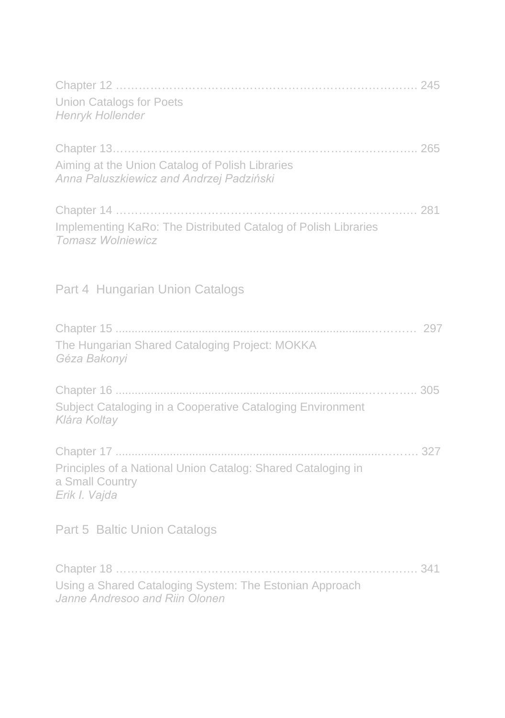| <b>Union Catalogs for Poets</b><br>Henryk Hollender                                                            |  |
|----------------------------------------------------------------------------------------------------------------|--|
| Aiming at the Union Catalog of Polish Libraries<br>Anna Paluszkiewicz and Andrzej Padziński                    |  |
| Implementing KaRo: The Distributed Catalog of Polish Libraries<br><b>Tomasz Wolniewicz</b>                     |  |
| Part 4 Hungarian Union Catalogs                                                                                |  |
| The Hungarian Shared Cataloging Project: MOKKA<br>Géza Bakonyi                                                 |  |
| Subject Cataloging in a Cooperative Cataloging Environment<br>Klára Koltay                                     |  |
| Principles of a National Union Catalog: Shared Cataloging in<br>a Small Country<br>Erik I. Vajda               |  |
| Part 5 Baltic Union Catalogs                                                                                   |  |
| Chapter 18<br>341<br>Using a Shared Cataloging System: The Estonian Approach<br>Janne Andresoo and Riin Olonen |  |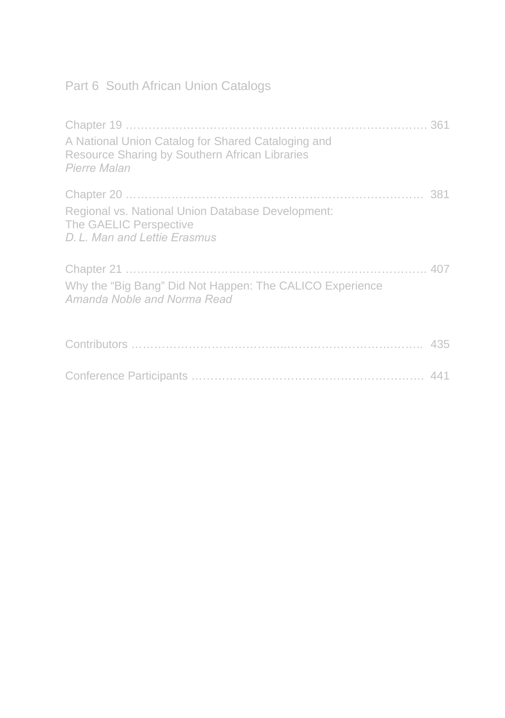# Part 6 South African Union Catalogs

| A National Union Catalog for Shared Cataloging and<br>Resource Sharing by Southern African Libraries<br>Pierre Malan |  |
|----------------------------------------------------------------------------------------------------------------------|--|
|                                                                                                                      |  |
| Regional vs. National Union Database Development:<br>The GAELIC Perspective<br>D. L. Man and Lettie Erasmus          |  |
|                                                                                                                      |  |
| Why the "Big Bang" Did Not Happen: The CALICO Experience<br>Amanda Noble and Norma Read                              |  |
|                                                                                                                      |  |
|                                                                                                                      |  |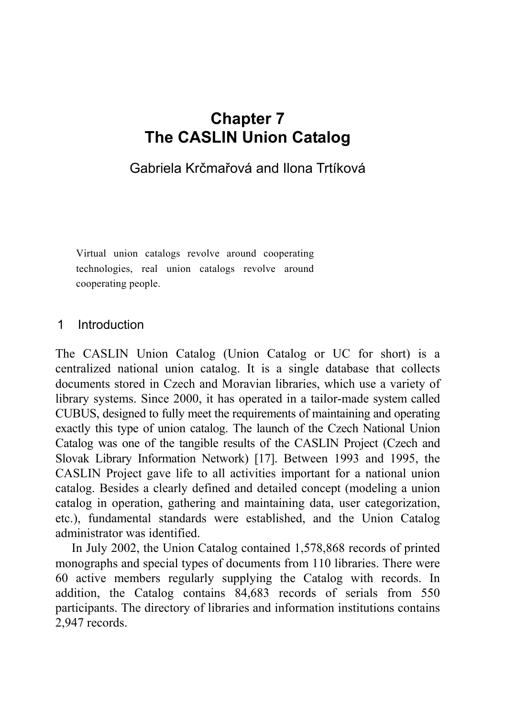# **Chapter 7 The CASLIN Union Catalog**

### Gabriela Krčmařová and Ilona Trtíková

 Virtual union catalogs revolve around cooperating technologies, real union catalogs revolve around cooperating people.

#### 1 Introduction

The CASLIN Union Catalog (Union Catalog or UC for short) is a centralized national union catalog. It is a single database that collects documents stored in Czech and Moravian libraries, which use a variety of library systems. Since 2000, it has operated in a tailor-made system called CUBUS, designed to fully meet the requirements of maintaining and operating exactly this type of union catalog. The launch of the Czech National Union Catalog was one of the tangible results of the CASLIN Project (Czech and Slovak Library Information Network) [17]. Between 1993 and 1995, the CASLIN Project gave life to all activities important for a national union catalog. Besides a clearly defined and detailed concept (modeling a union catalog in operation, gathering and maintaining data, user categorization, etc.), fundamental standards were established, and the Union Catalog administrator was identified.

In July 2002, the Union Catalog contained 1,578,868 records of printed monographs and special types of documents from 110 libraries. There were 60 active members regularly supplying the Catalog with records. In addition, the Catalog contains 84,683 records of serials from 550 participants. The directory of libraries and information institutions contains 2,947 records.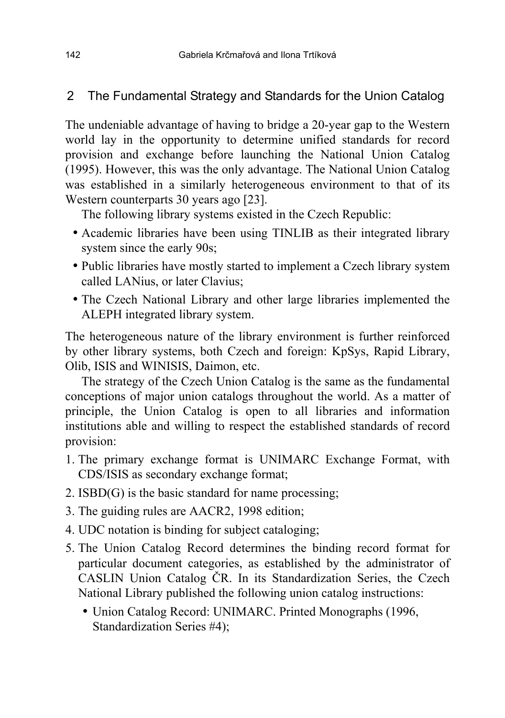### 2 The Fundamental Strategy and Standards for the Union Catalog

The undeniable advantage of having to bridge a 20-year gap to the Western world lay in the opportunity to determine unified standards for record provision and exchange before launching the National Union Catalog (1995). However, this was the only advantage. The National Union Catalog was established in a similarly heterogeneous environment to that of its Western counterparts 30 years ago [23].

The following library systems existed in the Czech Republic:

- Academic libraries have been using TINLIB as their integrated library system since the early 90s;
- Public libraries have mostly started to implement a Czech library system called LANius, or later Clavius;
- The Czech National Library and other large libraries implemented the ALEPH integrated library system.

The heterogeneous nature of the library environment is further reinforced by other library systems, both Czech and foreign: KpSys, Rapid Library, Olib, ISIS and WINISIS, Daimon, etc.

The strategy of the Czech Union Catalog is the same as the fundamental conceptions of major union catalogs throughout the world. As a matter of principle, the Union Catalog is open to all libraries and information institutions able and willing to respect the established standards of record provision:

- 1. The primary exchange format is UNIMARC Exchange Format, with CDS/ISIS as secondary exchange format;
- 2. ISBD(G) is the basic standard for name processing;
- 3. The guiding rules are AACR2, 1998 edition;
- 4. UDC notation is binding for subject cataloging;
- 5. The Union Catalog Record determines the binding record format for particular document categories, as established by the administrator of CASLIN Union Catalog ČR. In its Standardization Series, the Czech National Library published the following union catalog instructions:
	- Union Catalog Record: UNIMARC. Printed Monographs (1996, Standardization Series #4);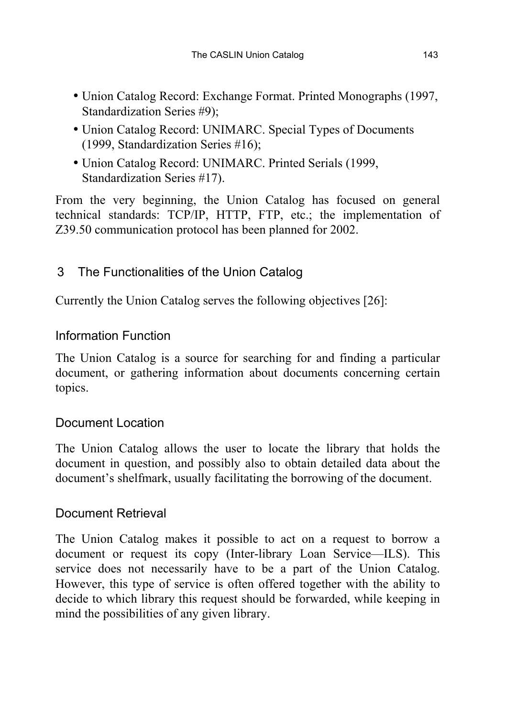- Union Catalog Record: Exchange Format. Printed Monographs (1997, Standardization Series #9);
- Union Catalog Record: UNIMARC. Special Types of Documents (1999, Standardization Series #16);
- Union Catalog Record: UNIMARC. Printed Serials (1999, Standardization Series #17).

From the very beginning, the Union Catalog has focused on general technical standards: TCP/IP, HTTP, FTP, etc.; the implementation of Z39.50 communication protocol has been planned for 2002.

### 3 The Functionalities of the Union Catalog

Currently the Union Catalog serves the following objectives [26]:

### Information Function

The Union Catalog is a source for searching for and finding a particular document, or gathering information about documents concerning certain topics.

### Document Location

The Union Catalog allows the user to locate the library that holds the document in question, and possibly also to obtain detailed data about the document's shelfmark, usually facilitating the borrowing of the document.

### Document Retrieval

The Union Catalog makes it possible to act on a request to borrow a document or request its copy (Inter-library Loan Service—ILS). This service does not necessarily have to be a part of the Union Catalog. However, this type of service is often offered together with the ability to decide to which library this request should be forwarded, while keeping in mind the possibilities of any given library.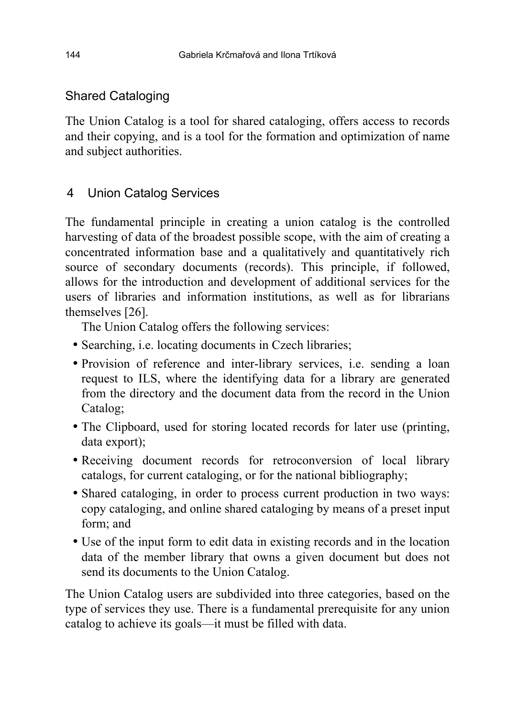### Shared Cataloging

The Union Catalog is a tool for shared cataloging, offers access to records and their copying, and is a tool for the formation and optimization of name and subject authorities.

### 4 Union Catalog Services

The fundamental principle in creating a union catalog is the controlled harvesting of data of the broadest possible scope, with the aim of creating a concentrated information base and a qualitatively and quantitatively rich source of secondary documents (records). This principle, if followed, allows for the introduction and development of additional services for the users of libraries and information institutions, as well as for librarians themselves [26].

The Union Catalog offers the following services:

- Searching, i.e. locating documents in Czech libraries;
- Provision of reference and inter-library services, i.e. sending a loan request to ILS, where the identifying data for a library are generated from the directory and the document data from the record in the Union Catalog;
- The Clipboard, used for storing located records for later use (printing, data export);
- Receiving document records for retroconversion of local library catalogs, for current cataloging, or for the national bibliography;
- Shared cataloging, in order to process current production in two ways: copy cataloging, and online shared cataloging by means of a preset input form; and
- Use of the input form to edit data in existing records and in the location data of the member library that owns a given document but does not send its documents to the Union Catalog.

The Union Catalog users are subdivided into three categories, based on the type of services they use. There is a fundamental prerequisite for any union catalog to achieve its goals—it must be filled with data.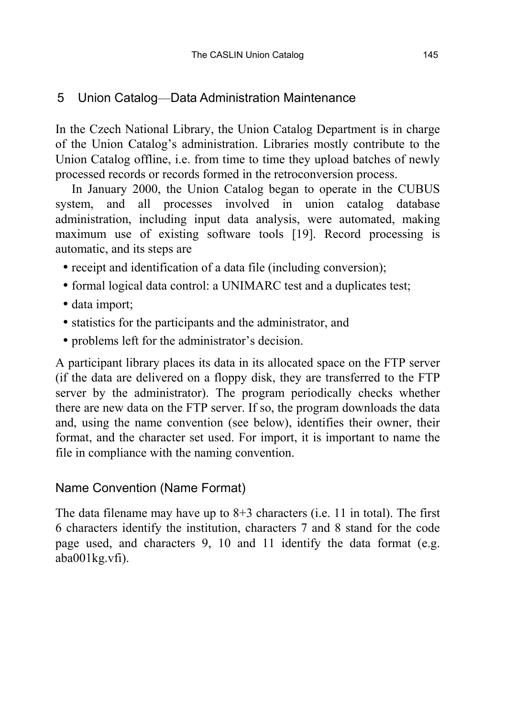### 5 Union Catalog—Data Administration Maintenance

In the Czech National Library, the Union Catalog Department is in charge of the Union Catalog's administration. Libraries mostly contribute to the Union Catalog offline, i.e. from time to time they upload batches of newly processed records or records formed in the retroconversion process.

In January 2000, the Union Catalog began to operate in the CUBUS system, and all processes involved in union catalog database administration, including input data analysis, were automated, making maximum use of existing software tools [19]. Record processing is automatic, and its steps are

- receipt and identification of a data file (including conversion);
- formal logical data control: a UNIMARC test and a duplicates test;
- data import;
- statistics for the participants and the administrator, and
- problems left for the administrator's decision.

A participant library places its data in its allocated space on the FTP server (if the data are delivered on a floppy disk, they are transferred to the FTP server by the administrator). The program periodically checks whether there are new data on the FTP server. If so, the program downloads the data and, using the name convention (see below), identifies their owner, their format, and the character set used. For import, it is important to name the file in compliance with the naming convention.

## Name Convention (Name Format)

The data filename may have up to 8+3 characters (i.e. 11 in total). The first 6 characters identify the institution, characters 7 and 8 stand for the code page used, and characters 9, 10 and 11 identify the data format (e.g. aba001kg.vfi).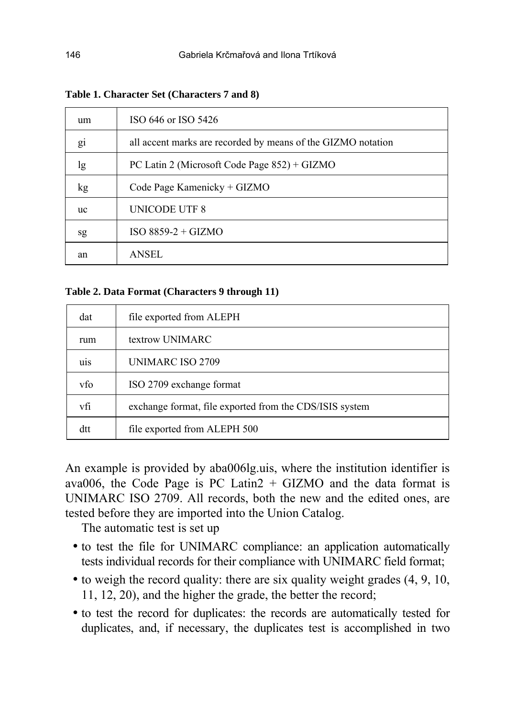| um | ISO 646 or ISO 5426                                          |
|----|--------------------------------------------------------------|
| gi | all accent marks are recorded by means of the GIZMO notation |
| lg | PC Latin 2 (Microsoft Code Page 852) + GIZMO                 |
| kg | Code Page Kamenicky + GIZMO                                  |
| uc | UNICODE UTF 8                                                |
| sg | $ISO 8859-2 + GIZMO$                                         |
| an | <b>ANSEL</b>                                                 |

**Table 1. Character Set (Characters 7 and 8)** 

#### **Table 2. Data Format (Characters 9 through 11)**

| dat              | file exported from ALEPH                                |
|------------------|---------------------------------------------------------|
| rum              | textrow UNIMARC                                         |
| u <sub>1</sub> s | UNIMARC ISO 2709                                        |
| vfo              | ISO 2709 exchange format                                |
| vfi              | exchange format, file exported from the CDS/ISIS system |
| dtt              | file exported from ALEPH 500                            |

An example is provided by aba006lg.uis, where the institution identifier is ava006, the Code Page is PC Latin2  $+$  GIZMO and the data format is UNIMARC ISO 2709. All records, both the new and the edited ones, are tested before they are imported into the Union Catalog.

The automatic test is set up

- to test the file for UNIMARC compliance: an application automatically tests individual records for their compliance with UNIMARC field format;
- to weigh the record quality: there are six quality weight grades  $(4, 9, 10, 10)$ 11, 12, 20), and the higher the grade, the better the record;
- to test the record for duplicates: the records are automatically tested for duplicates, and, if necessary, the duplicates test is accomplished in two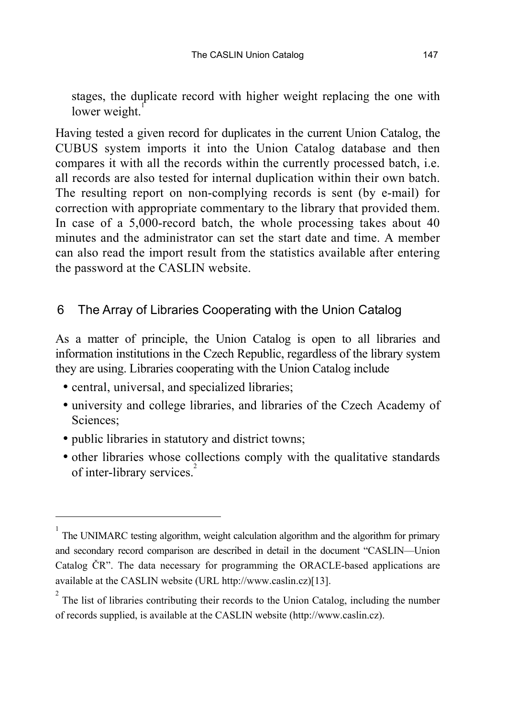stages, the duplicate record with higher weight replacing the one with lower weight.

Having tested a given record for duplicates in the current Union Catalog, the CUBUS system imports it into the Union Catalog database and then compares it with all the records within the currently processed batch, i.e. all records are also tested for internal duplication within their own batch. The resulting report on non-complying records is sent (by e-mail) for correction with appropriate commentary to the library that provided them. In case of a 5,000-record batch, the whole processing takes about 40 minutes and the administrator can set the start date and time. A member can also read the import result from the statistics available after entering the password at the CASLIN website.

#### 6 The Array of Libraries Cooperating with the Union Catalog

As a matter of principle, the Union Catalog is open to all libraries and information institutions in the Czech Republic, regardless of the library system they are using. Libraries cooperating with the Union Catalog include

- central, universal, and specialized libraries;
- university and college libraries, and libraries of the Czech Academy of Sciences;
- public libraries in statutory and district towns;

l

• other libraries whose collections comply with the qualitative standards of inter-library services.<sup>2</sup>

<sup>1</sup> The UNIMARC testing algorithm, weight calculation algorithm and the algorithm for primary and secondary record comparison are described in detail in the document "CASLIN—Union Catalog ČR". The data necessary for programming the ORACLE-based applications are available at the CASLIN website (URL http://www.caslin.cz)[13].

 $2^{2}$  The list of libraries contributing their records to the Union Catalog, including the number of records supplied, is available at the CASLIN website (http://www.caslin.cz).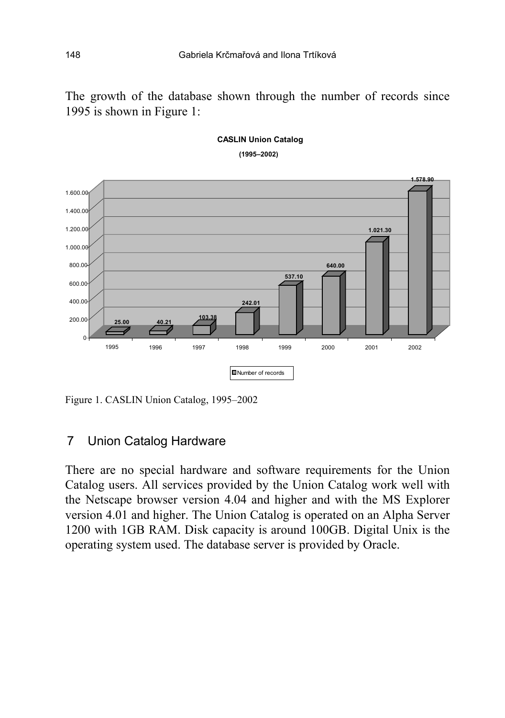The growth of the database shown through the number of records since 1995 is shown in Figure 1:



#### **CASLIN Union Catalog**   $(1995 - 2002)$

Figure 1. CASLIN Union Catalog, 1995–2002

#### 7 Union Catalog Hardware

There are no special hardware and software requirements for the Union Catalog users. All services provided by the Union Catalog work well with the Netscape browser version 4.04 and higher and with the MS Explorer version 4.01 and higher. The Union Catalog is operated on an Alpha Server 1200 with 1GB RAM. Disk capacity is around 100GB. Digital Unix is the operating system used. The database server is provided by Oracle.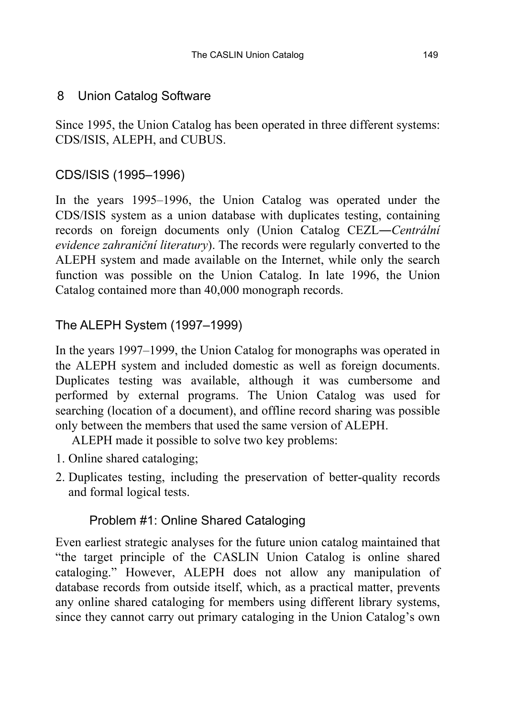#### 8 Union Catalog Software

Since 1995, the Union Catalog has been operated in three different systems: CDS/ISIS, ALEPH, and CUBUS.

### CDS/ISIS (1995-1996)

In the years 1995–1996, the Union Catalog was operated under the CDS/ISIS system as a union database with duplicates testing, containing records on foreign documents only (Union Catalog CEZL—*Centrální evidence zahraničnÌ literatury*). The records were regularly converted to the ALEPH system and made available on the Internet, while only the search function was possible on the Union Catalog. In late 1996, the Union Catalog contained more than 40,000 monograph records.

### The ALEPH System (1997-1999)

In the years 1997–1999, the Union Catalog for monographs was operated in the ALEPH system and included domestic as well as foreign documents. Duplicates testing was available, although it was cumbersome and performed by external programs. The Union Catalog was used for searching (location of a document), and offline record sharing was possible only between the members that used the same version of ALEPH.

ALEPH made it possible to solve two key problems:

- 1. Online shared cataloging;
- 2. Duplicates testing, including the preservation of better-quality records and formal logical tests.

### Problem #1: Online Shared Cataloging

Even earliest strategic analyses for the future union catalog maintained that "the target principle of the CASLIN Union Catalog is online shared cataloging." However, ALEPH does not allow any manipulation of database records from outside itself, which, as a practical matter, prevents any online shared cataloging for members using different library systems, since they cannot carry out primary cataloging in the Union Catalog's own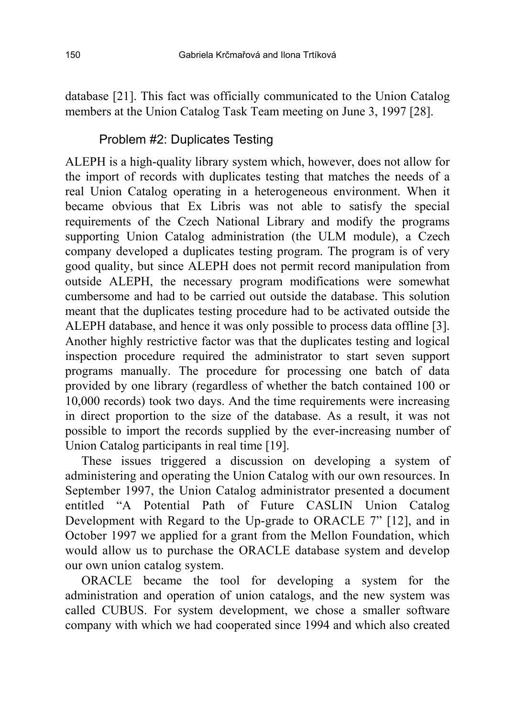database [21]. This fact was officially communicated to the Union Catalog members at the Union Catalog Task Team meeting on June 3, 1997 [28].

#### Problem #2: Duplicates Testing

ALEPH is a high-quality library system which, however, does not allow for the import of records with duplicates testing that matches the needs of a real Union Catalog operating in a heterogeneous environment. When it became obvious that Ex Libris was not able to satisfy the special requirements of the Czech National Library and modify the programs supporting Union Catalog administration (the ULM module), a Czech company developed a duplicates testing program. The program is of very good quality, but since ALEPH does not permit record manipulation from outside ALEPH, the necessary program modifications were somewhat cumbersome and had to be carried out outside the database. This solution meant that the duplicates testing procedure had to be activated outside the ALEPH database, and hence it was only possible to process data offline [3]. Another highly restrictive factor was that the duplicates testing and logical inspection procedure required the administrator to start seven support programs manually. The procedure for processing one batch of data provided by one library (regardless of whether the batch contained 100 or 10,000 records) took two days. And the time requirements were increasing in direct proportion to the size of the database. As a result, it was not possible to import the records supplied by the ever-increasing number of Union Catalog participants in real time [19].

These issues triggered a discussion on developing a system of administering and operating the Union Catalog with our own resources. In September 1997, the Union Catalog administrator presented a document entitled "A Potential Path of Future CASLIN Union Catalog Development with Regard to the Up-grade to ORACLE  $7$ <sup>"</sup> [12], and in October 1997 we applied for a grant from the Mellon Foundation, which would allow us to purchase the ORACLE database system and develop our own union catalog system.

ORACLE became the tool for developing a system for the administration and operation of union catalogs, and the new system was called CUBUS. For system development, we chose a smaller software company with which we had cooperated since 1994 and which also created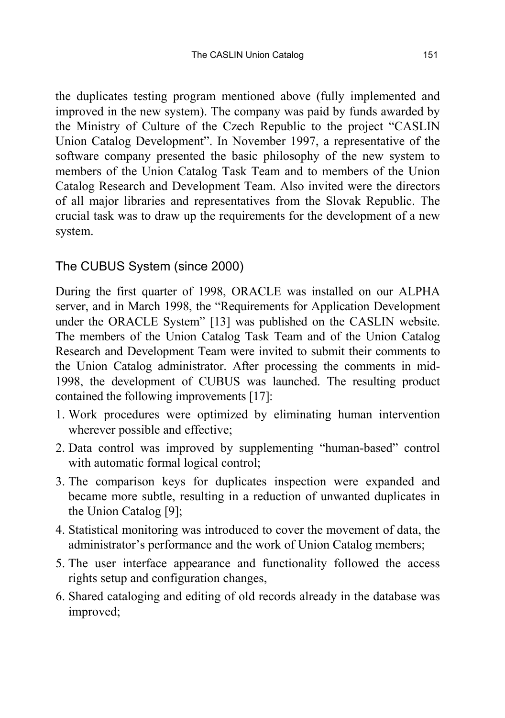the duplicates testing program mentioned above (fully implemented and improved in the new system). The company was paid by funds awarded by the Ministry of Culture of the Czech Republic to the project "CASLIN Union Catalog Development". In November 1997, a representative of the software company presented the basic philosophy of the new system to members of the Union Catalog Task Team and to members of the Union Catalog Research and Development Team. Also invited were the directors of all major libraries and representatives from the Slovak Republic. The crucial task was to draw up the requirements for the development of a new system.

#### The CUBUS System (since 2000)

During the first quarter of 1998, ORACLE was installed on our ALPHA server, and in March 1998, the "Requirements for Application Development under the ORACLE System" [13] was published on the CASLIN website. The members of the Union Catalog Task Team and of the Union Catalog Research and Development Team were invited to submit their comments to the Union Catalog administrator. After processing the comments in mid-1998, the development of CUBUS was launched. The resulting product contained the following improvements [17]:

- 1. Work procedures were optimized by eliminating human intervention wherever possible and effective;
- 2. Data control was improved by supplementing "human-based" control with automatic formal logical control;
- 3. The comparison keys for duplicates inspection were expanded and became more subtle, resulting in a reduction of unwanted duplicates in the Union Catalog [9];
- 4. Statistical monitoring was introduced to cover the movement of data, the administrator's performance and the work of Union Catalog members;
- 5. The user interface appearance and functionality followed the access rights setup and configuration changes,
- 6. Shared cataloging and editing of old records already in the database was improved;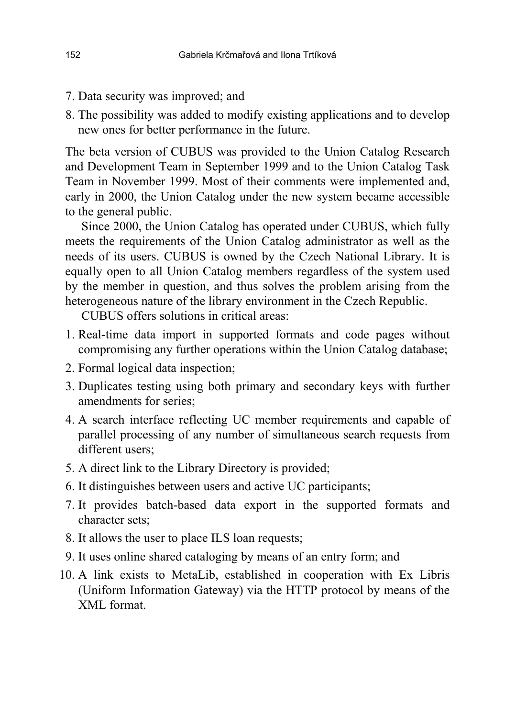- 7. Data security was improved; and
- 8. The possibility was added to modify existing applications and to develop new ones for better performance in the future.

The beta version of CUBUS was provided to the Union Catalog Research and Development Team in September 1999 and to the Union Catalog Task Team in November 1999. Most of their comments were implemented and, early in 2000, the Union Catalog under the new system became accessible to the general public.

Since 2000, the Union Catalog has operated under CUBUS, which fully meets the requirements of the Union Catalog administrator as well as the needs of its users. CUBUS is owned by the Czech National Library. It is equally open to all Union Catalog members regardless of the system used by the member in question, and thus solves the problem arising from the heterogeneous nature of the library environment in the Czech Republic.

CUBUS offers solutions in critical areas:

- 1. Real-time data import in supported formats and code pages without compromising any further operations within the Union Catalog database;
- 2. Formal logical data inspection;
- 3. Duplicates testing using both primary and secondary keys with further amendments for series;
- 4. A search interface reflecting UC member requirements and capable of parallel processing of any number of simultaneous search requests from different users;
- 5. A direct link to the Library Directory is provided;
- 6. It distinguishes between users and active UC participants;
- 7. It provides batch-based data export in the supported formats and character sets;
- 8. It allows the user to place ILS loan requests;
- 9. It uses online shared cataloging by means of an entry form; and
- 10. A link exists to MetaLib, established in cooperation with Ex Libris (Uniform Information Gateway) via the HTTP protocol by means of the XML format.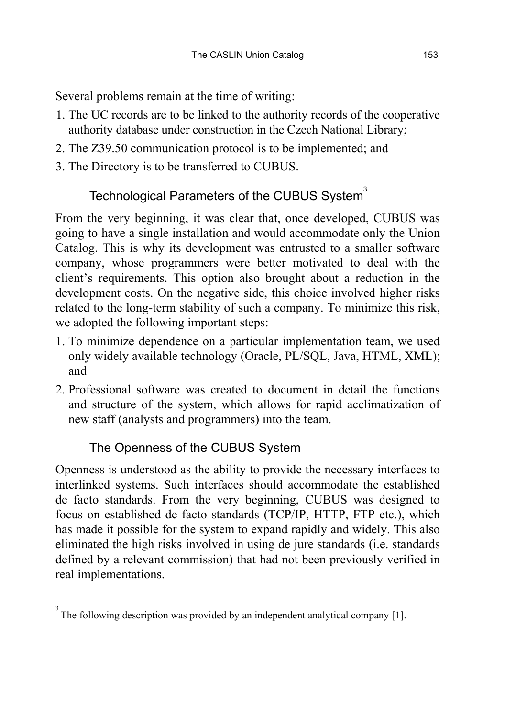Several problems remain at the time of writing:

- 1. The UC records are to be linked to the authority records of the cooperative authority database under construction in the Czech National Library;
- 2. The Z39.50 communication protocol is to be implemented; and
- 3. The Directory is to be transferred to CUBUS.

# Technological Parameters of the CUBUS System $^3$

From the very beginning, it was clear that, once developed, CUBUS was going to have a single installation and would accommodate only the Union Catalog. This is why its development was entrusted to a smaller software company, whose programmers were better motivated to deal with the client's requirements. This option also brought about a reduction in the development costs. On the negative side, this choice involved higher risks related to the long-term stability of such a company. To minimize this risk, we adopted the following important steps:

- 1. To minimize dependence on a particular implementation team, we used only widely available technology (Oracle, PL/SQL, Java, HTML, XML); and
- 2. Professional software was created to document in detail the functions and structure of the system, which allows for rapid acclimatization of new staff (analysts and programmers) into the team.

## The Openness of the CUBUS System

l

Openness is understood as the ability to provide the necessary interfaces to interlinked systems. Such interfaces should accommodate the established de facto standards. From the very beginning, CUBUS was designed to focus on established de facto standards (TCP/IP, HTTP, FTP etc.), which has made it possible for the system to expand rapidly and widely. This also eliminated the high risks involved in using de jure standards (i.e. standards defined by a relevant commission) that had not been previously verified in real implementations.

 $3<sup>3</sup>$  The following description was provided by an independent analytical company [1].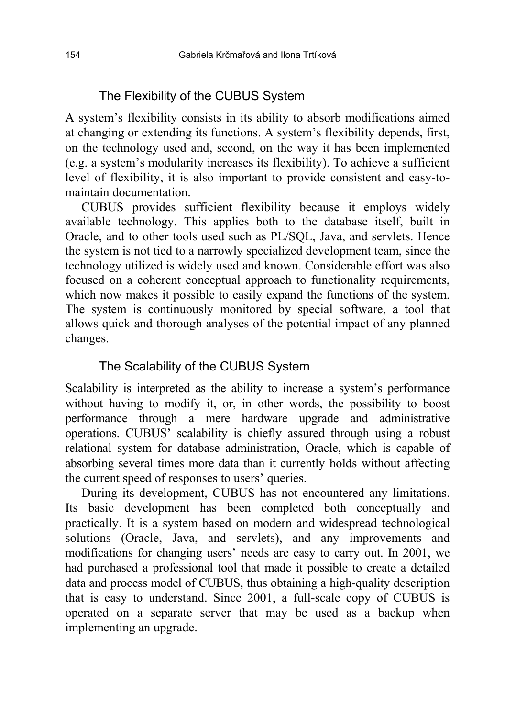#### The Flexibility of the CUBUS System

A systemís flexibility consists in its ability to absorb modifications aimed at changing or extending its functions. A system's flexibility depends, first, on the technology used and, second, on the way it has been implemented (e.g. a systemís modularity increases its flexibility). To achieve a sufficient level of flexibility, it is also important to provide consistent and easy-tomaintain documentation.

CUBUS provides sufficient flexibility because it employs widely available technology. This applies both to the database itself, built in Oracle, and to other tools used such as PL/SQL, Java, and servlets. Hence the system is not tied to a narrowly specialized development team, since the technology utilized is widely used and known. Considerable effort was also focused on a coherent conceptual approach to functionality requirements, which now makes it possible to easily expand the functions of the system. The system is continuously monitored by special software, a tool that allows quick and thorough analyses of the potential impact of any planned changes.

#### The Scalability of the CUBUS System

Scalability is interpreted as the ability to increase a system's performance without having to modify it, or, in other words, the possibility to boost performance through a mere hardware upgrade and administrative operations. CUBUS' scalability is chiefly assured through using a robust relational system for database administration, Oracle, which is capable of absorbing several times more data than it currently holds without affecting the current speed of responses to users' queries.

During its development, CUBUS has not encountered any limitations. Its basic development has been completed both conceptually and practically. It is a system based on modern and widespread technological solutions (Oracle, Java, and servlets), and any improvements and modifications for changing users' needs are easy to carry out. In 2001, we had purchased a professional tool that made it possible to create a detailed data and process model of CUBUS, thus obtaining a high-quality description that is easy to understand. Since 2001, a full-scale copy of CUBUS is operated on a separate server that may be used as a backup when implementing an upgrade.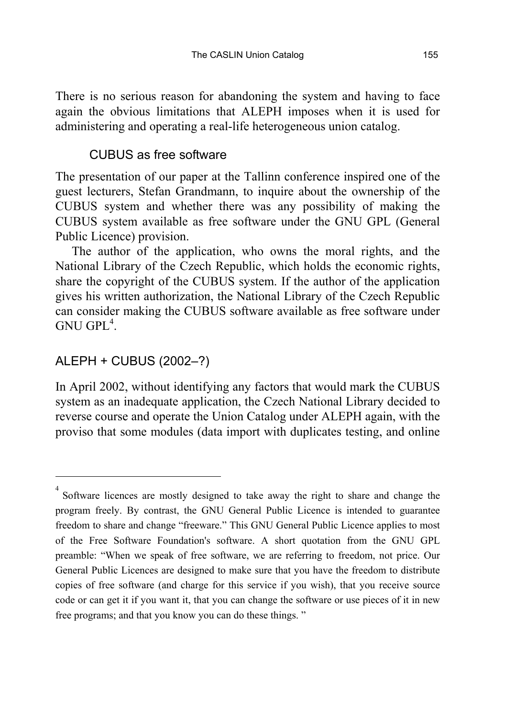There is no serious reason for abandoning the system and having to face again the obvious limitations that ALEPH imposes when it is used for administering and operating a real-life heterogeneous union catalog.

### CUBUS as free software

The presentation of our paper at the Tallinn conference inspired one of the guest lecturers, Stefan Grandmann, to inquire about the ownership of the CUBUS system and whether there was any possibility of making the CUBUS system available as free software under the GNU GPL (General Public Licence) provision.

The author of the application, who owns the moral rights, and the National Library of the Czech Republic, which holds the economic rights, share the copyright of the CUBUS system. If the author of the application gives his written authorization, the National Library of the Czech Republic can consider making the CUBUS software available as free software under  $GNU$   $GPL<sup>4</sup>$ .

## ALEPH + CUBUS (2002-?)

l

In April 2002, without identifying any factors that would mark the CUBUS system as an inadequate application, the Czech National Library decided to reverse course and operate the Union Catalog under ALEPH again, with the proviso that some modules (data import with duplicates testing, and online

<sup>&</sup>lt;sup>4</sup> Software licences are mostly designed to take away the right to share and change the program freely. By contrast, the GNU General Public Licence is intended to guarantee freedom to share and change "freeware." This GNU General Public Licence applies to most of the Free Software Foundation's software. A short quotation from the GNU GPL preamble: "When we speak of free software, we are referring to freedom, not price. Our General Public Licences are designed to make sure that you have the freedom to distribute copies of free software (and charge for this service if you wish), that you receive source code or can get it if you want it, that you can change the software or use pieces of it in new free programs; and that you know you can do these things."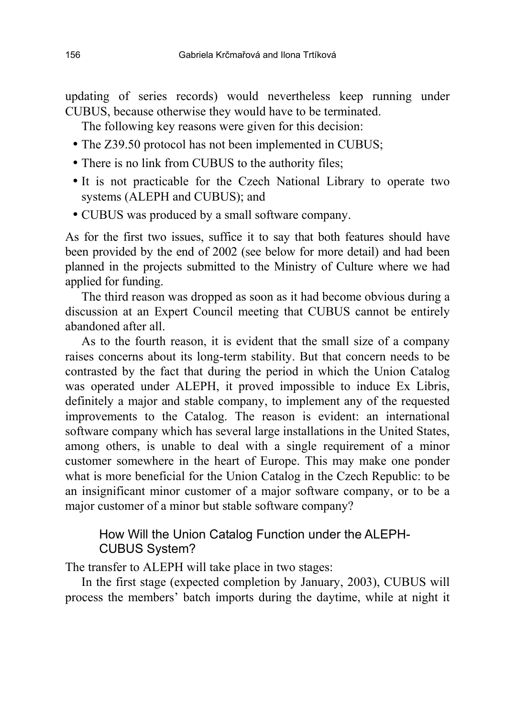updating of series records) would nevertheless keep running under CUBUS, because otherwise they would have to be terminated.

The following key reasons were given for this decision:

- The Z39.50 protocol has not been implemented in CUBUS;
- There is no link from CUBUS to the authority files;
- It is not practicable for the Czech National Library to operate two systems (ALEPH and CUBUS); and
- CUBUS was produced by a small software company.

As for the first two issues, suffice it to say that both features should have been provided by the end of 2002 (see below for more detail) and had been planned in the projects submitted to the Ministry of Culture where we had applied for funding.

The third reason was dropped as soon as it had become obvious during a discussion at an Expert Council meeting that CUBUS cannot be entirely abandoned after all.

As to the fourth reason, it is evident that the small size of a company raises concerns about its long-term stability. But that concern needs to be contrasted by the fact that during the period in which the Union Catalog was operated under ALEPH, it proved impossible to induce Ex Libris, definitely a major and stable company, to implement any of the requested improvements to the Catalog. The reason is evident: an international software company which has several large installations in the United States, among others, is unable to deal with a single requirement of a minor customer somewhere in the heart of Europe. This may make one ponder what is more beneficial for the Union Catalog in the Czech Republic: to be an insignificant minor customer of a major software company, or to be a major customer of a minor but stable software company?

### How Will the Union Catalog Function under the ALEPH-CUBUS System?

The transfer to ALEPH will take place in two stages:

In the first stage (expected completion by January, 2003), CUBUS will process the members' batch imports during the daytime, while at night it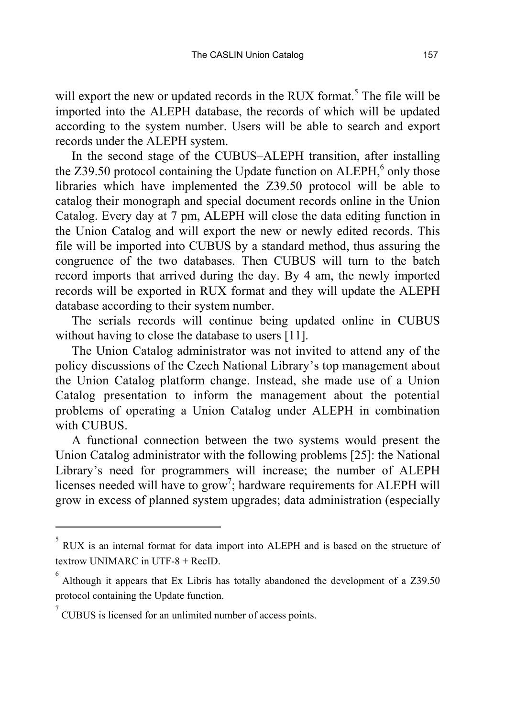will export the new or updated records in the RUX format.<sup>5</sup> The file will be imported into the ALEPH database, the records of which will be updated according to the system number. Users will be able to search and export records under the ALEPH system.

In the second stage of the CUBUS–ALEPH transition, after installing the  $Z39.50$  protocol containing the Update function on ALEPH, $6$  only those libraries which have implemented the Z39.50 protocol will be able to catalog their monograph and special document records online in the Union Catalog. Every day at 7 pm, ALEPH will close the data editing function in the Union Catalog and will export the new or newly edited records. This file will be imported into CUBUS by a standard method, thus assuring the congruence of the two databases. Then CUBUS will turn to the batch record imports that arrived during the day. By 4 am, the newly imported records will be exported in RUX format and they will update the ALEPH database according to their system number.

The serials records will continue being updated online in CUBUS without having to close the database to users [11].

The Union Catalog administrator was not invited to attend any of the policy discussions of the Czech National Library's top management about the Union Catalog platform change. Instead, she made use of a Union Catalog presentation to inform the management about the potential problems of operating a Union Catalog under ALEPH in combination with CUBUS.

A functional connection between the two systems would present the Union Catalog administrator with the following problems [25]: the National Library's need for programmers will increase; the number of ALEPH licenses needed will have to grow<sup>7</sup>; hardware requirements for ALEPH will grow in excess of planned system upgrades; data administration (especially

l

<sup>5</sup> RUX is an internal format for data import into ALEPH and is based on the structure of textrow UNIMARC in UTF-8 + RecID.

<sup>6</sup>  Although it appears that Ex Libris has totally abandoned the development of a Z39.50 protocol containing the Update function.

<sup>7</sup> CUBUS is licensed for an unlimited number of access points.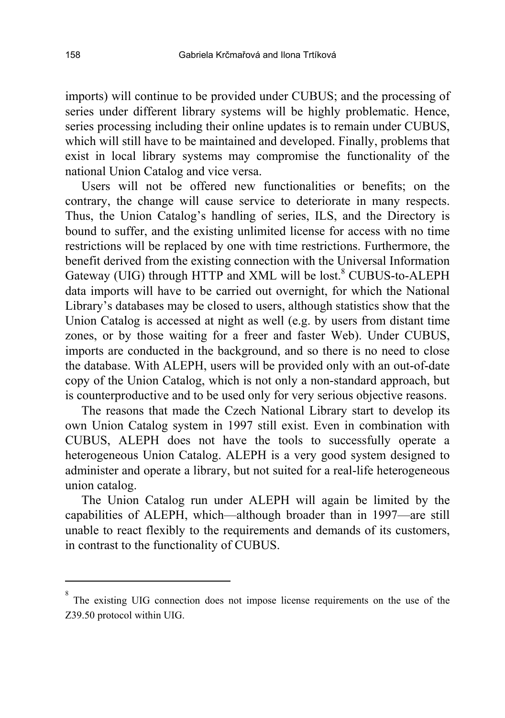imports) will continue to be provided under CUBUS; and the processing of series under different library systems will be highly problematic. Hence, series processing including their online updates is to remain under CUBUS, which will still have to be maintained and developed. Finally, problems that exist in local library systems may compromise the functionality of the national Union Catalog and vice versa.

Users will not be offered new functionalities or benefits; on the contrary, the change will cause service to deteriorate in many respects. Thus, the Union Catalog's handling of series, ILS, and the Directory is bound to suffer, and the existing unlimited license for access with no time restrictions will be replaced by one with time restrictions. Furthermore, the benefit derived from the existing connection with the Universal Information Gateway (UIG) through HTTP and XML will be lost.<sup>8</sup> CUBUS-to-ALEPH data imports will have to be carried out overnight, for which the National Library's databases may be closed to users, although statistics show that the Union Catalog is accessed at night as well (e.g. by users from distant time zones, or by those waiting for a freer and faster Web). Under CUBUS, imports are conducted in the background, and so there is no need to close the database. With ALEPH, users will be provided only with an out-of-date copy of the Union Catalog, which is not only a non-standard approach, but is counterproductive and to be used only for very serious objective reasons.

The reasons that made the Czech National Library start to develop its own Union Catalog system in 1997 still exist. Even in combination with CUBUS, ALEPH does not have the tools to successfully operate a heterogeneous Union Catalog. ALEPH is a very good system designed to administer and operate a library, but not suited for a real-life heterogeneous union catalog.

The Union Catalog run under ALEPH will again be limited by the capabilities of ALEPH, which—although broader than in 1997—are still unable to react flexibly to the requirements and demands of its customers, in contrast to the functionality of CUBUS.

 $\overline{a}$ 

<sup>8</sup> The existing UIG connection does not impose license requirements on the use of the Z39.50 protocol within UIG.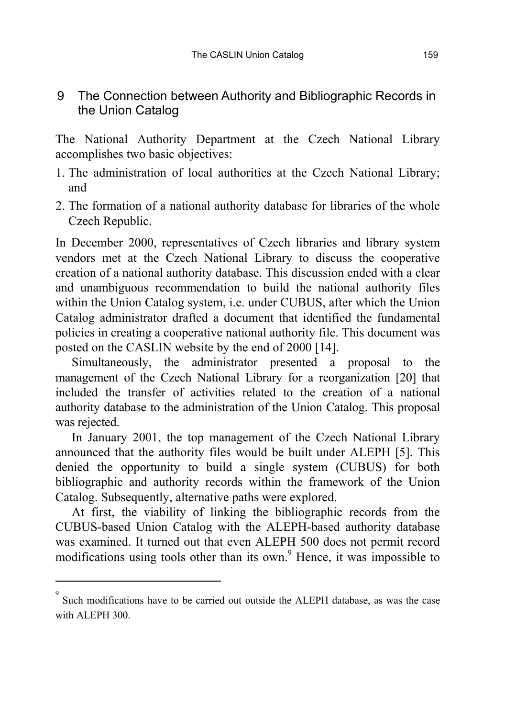### 9 The Connection between Authority and Bibliographic Records in the Union Catalog

The National Authority Department at the Czech National Library accomplishes two basic objectives:

- 1. The administration of local authorities at the Czech National Library; and
- 2. The formation of a national authority database for libraries of the whole Czech Republic.

In December 2000, representatives of Czech libraries and library system vendors met at the Czech National Library to discuss the cooperative creation of a national authority database. This discussion ended with a clear and unambiguous recommendation to build the national authority files within the Union Catalog system, i.e. under CUBUS, after which the Union Catalog administrator drafted a document that identified the fundamental policies in creating a cooperative national authority file. This document was posted on the CASLIN website by the end of 2000 [14].

Simultaneously, the administrator presented a proposal to the management of the Czech National Library for a reorganization [20] that included the transfer of activities related to the creation of a national authority database to the administration of the Union Catalog. This proposal was rejected.

In January 2001, the top management of the Czech National Library announced that the authority files would be built under ALEPH [5]. This denied the opportunity to build a single system (CUBUS) for both bibliographic and authority records within the framework of the Union Catalog. Subsequently, alternative paths were explored.

At first, the viability of linking the bibliographic records from the CUBUS-based Union Catalog with the ALEPH-based authority database was examined. It turned out that even ALEPH 500 does not permit record modifications using tools other than its own.<sup>9</sup> Hence, it was impossible to

 $\overline{a}$ 

<sup>9</sup> Such modifications have to be carried out outside the ALEPH database, as was the case with ALEPH 300.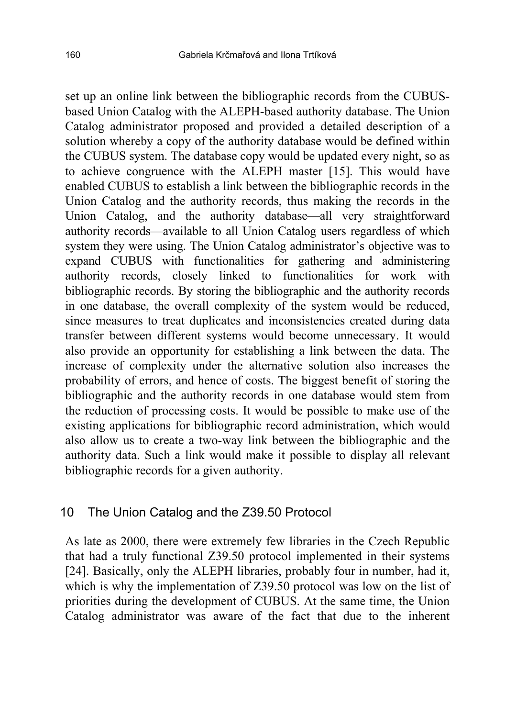set up an online link between the bibliographic records from the CUBUSbased Union Catalog with the ALEPH-based authority database. The Union Catalog administrator proposed and provided a detailed description of a solution whereby a copy of the authority database would be defined within the CUBUS system. The database copy would be updated every night, so as to achieve congruence with the ALEPH master [15]. This would have enabled CUBUS to establish a link between the bibliographic records in the Union Catalog and the authority records, thus making the records in the Union Catalog, and the authority database—all very straightforward authority records—available to all Union Catalog users regardless of which system they were using. The Union Catalog administrator's objective was to expand CUBUS with functionalities for gathering and administering authority records, closely linked to functionalities for work with bibliographic records. By storing the bibliographic and the authority records in one database, the overall complexity of the system would be reduced, since measures to treat duplicates and inconsistencies created during data transfer between different systems would become unnecessary. It would also provide an opportunity for establishing a link between the data. The increase of complexity under the alternative solution also increases the probability of errors, and hence of costs. The biggest benefit of storing the bibliographic and the authority records in one database would stem from the reduction of processing costs. It would be possible to make use of the existing applications for bibliographic record administration, which would also allow us to create a two-way link between the bibliographic and the authority data. Such a link would make it possible to display all relevant bibliographic records for a given authority.

#### 10 The Union Catalog and the Z39.50 Protocol

As late as 2000, there were extremely few libraries in the Czech Republic that had a truly functional Z39.50 protocol implemented in their systems [24]. Basically, only the ALEPH libraries, probably four in number, had it, which is why the implementation of Z39.50 protocol was low on the list of priorities during the development of CUBUS. At the same time, the Union Catalog administrator was aware of the fact that due to the inherent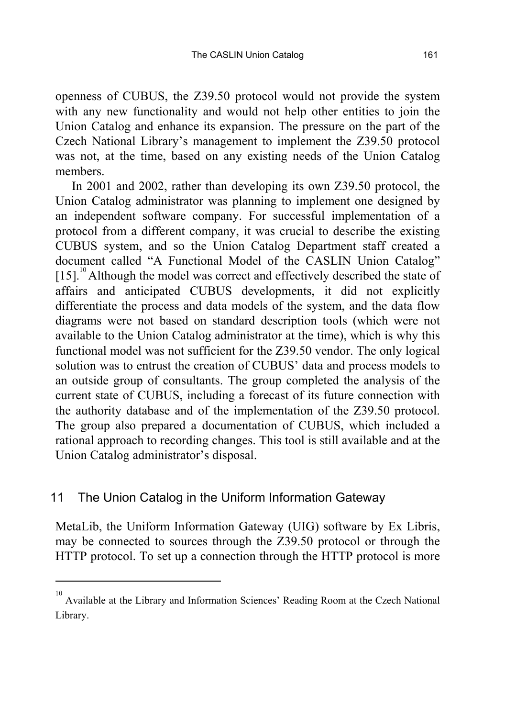openness of CUBUS, the Z39.50 protocol would not provide the system with any new functionality and would not help other entities to join the Union Catalog and enhance its expansion. The pressure on the part of the Czech National Library's management to implement the Z39.50 protocol was not, at the time, based on any existing needs of the Union Catalog members.

In 2001 and 2002, rather than developing its own Z39.50 protocol, the Union Catalog administrator was planning to implement one designed by an independent software company. For successful implementation of a protocol from a different company, it was crucial to describe the existing CUBUS system, and so the Union Catalog Department staff created a document called "A Functional Model of the CASLIN Union Catalog" [15].<sup>10</sup> Although the model was correct and effectively described the state of affairs and anticipated CUBUS developments, it did not explicitly differentiate the process and data models of the system, and the data flow diagrams were not based on standard description tools (which were not available to the Union Catalog administrator at the time), which is why this functional model was not sufficient for the Z39.50 vendor. The only logical solution was to entrust the creation of CUBUS' data and process models to an outside group of consultants. The group completed the analysis of the current state of CUBUS, including a forecast of its future connection with the authority database and of the implementation of the Z39.50 protocol. The group also prepared a documentation of CUBUS, which included a rational approach to recording changes. This tool is still available and at the Union Catalog administrator's disposal.

#### 11 The Union Catalog in the Uniform Information Gateway

 $\overline{a}$ 

MetaLib, the Uniform Information Gateway (UIG) software by Ex Libris, may be connected to sources through the Z39.50 protocol or through the HTTP protocol. To set up a connection through the HTTP protocol is more

<sup>10</sup> Available at the Library and Information Sciences' Reading Room at the Czech National Library.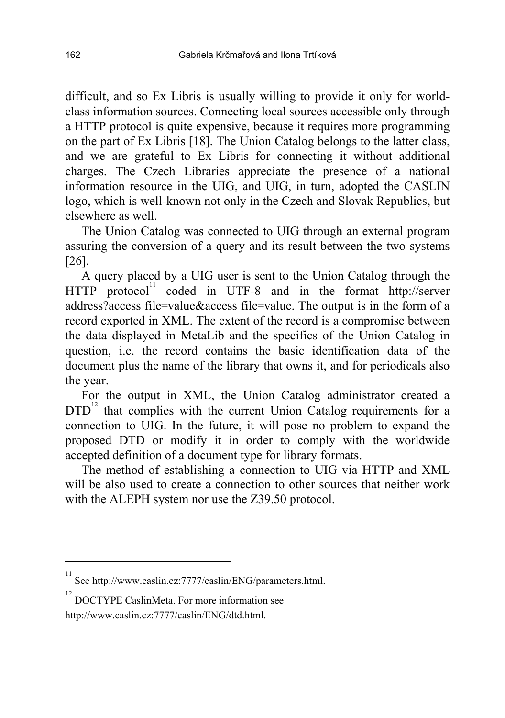difficult, and so Ex Libris is usually willing to provide it only for worldclass information sources. Connecting local sources accessible only through a HTTP protocol is quite expensive, because it requires more programming on the part of Ex Libris [18]. The Union Catalog belongs to the latter class, and we are grateful to Ex Libris for connecting it without additional charges. The Czech Libraries appreciate the presence of a national information resource in the UIG, and UIG, in turn, adopted the CASLIN logo, which is well-known not only in the Czech and Slovak Republics, but elsewhere as well.

The Union Catalog was connected to UIG through an external program assuring the conversion of a query and its result between the two systems [26].

A query placed by a UIG user is sent to the Union Catalog through the  $HTTP$  protocol<sup>11</sup> coded in UTF-8 and in the format http://server address?access file=value&access file=value. The output is in the form of a record exported in XML. The extent of the record is a compromise between the data displayed in MetaLib and the specifics of the Union Catalog in question, i.e. the record contains the basic identification data of the document plus the name of the library that owns it, and for periodicals also the year.

For the output in XML, the Union Catalog administrator created a DTD<sup>12</sup> that complies with the current Union Catalog requirements for a connection to UIG. In the future, it will pose no problem to expand the proposed DTD or modify it in order to comply with the worldwide accepted definition of a document type for library formats.

The method of establishing a connection to UIG via HTTP and XML will be also used to create a connection to other sources that neither work with the ALEPH system nor use the Z39.50 protocol.

l

<sup>11</sup> See http://www.caslin.cz:7777/caslin/ENG/parameters.html.

<sup>&</sup>lt;sup>12</sup> DOCTYPE CaslinMeta. For more information see http://www.caslin.cz:7777/caslin/ENG/dtd.html.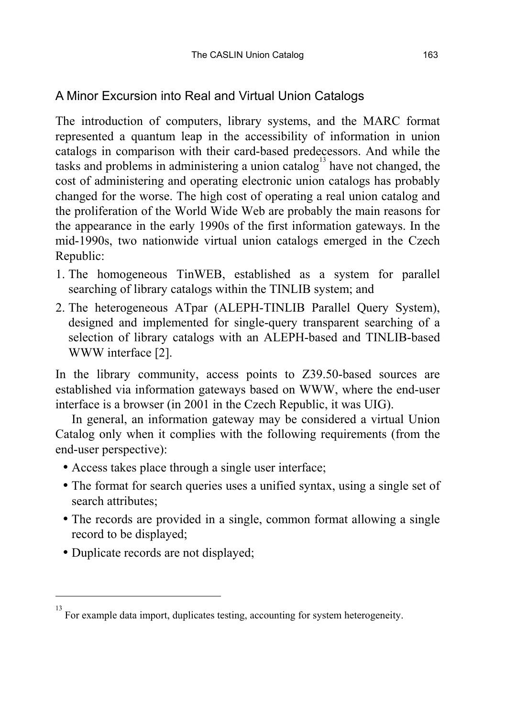### A Minor Excursion into Real and Virtual Union Catalogs

The introduction of computers, library systems, and the MARC format represented a quantum leap in the accessibility of information in union catalogs in comparison with their card-based predecessors. And while the tasks and problems in administering a union catalog<sup>13</sup> have not changed, the cost of administering and operating electronic union catalogs has probably changed for the worse. The high cost of operating a real union catalog and the proliferation of the World Wide Web are probably the main reasons for the appearance in the early 1990s of the first information gateways. In the mid-1990s, two nationwide virtual union catalogs emerged in the Czech Republic:

- 1. The homogeneous TinWEB, established as a system for parallel searching of library catalogs within the TINLIB system; and
- 2. The heterogeneous ATpar (ALEPH-TINLIB Parallel Query System), designed and implemented for single-query transparent searching of a selection of library catalogs with an ALEPH-based and TINLIB-based WWW interface [2].

In the library community, access points to Z39.50-based sources are established via information gateways based on WWW, where the end-user interface is a browser (in 2001 in the Czech Republic, it was UIG).

In general, an information gateway may be considered a virtual Union Catalog only when it complies with the following requirements (from the end-user perspective):

- Access takes place through a single user interface;
- The format for search queries uses a unified syntax, using a single set of search attributes;
- The records are provided in a single, common format allowing a single record to be displayed;
- Duplicate records are not displayed;

l

<sup>13</sup> For example data import, duplicates testing, accounting for system heterogeneity.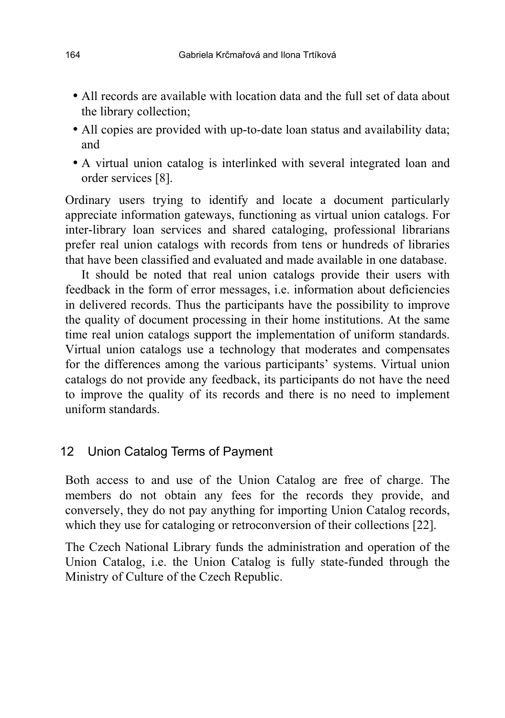- All records are available with location data and the full set of data about the library collection;
- All copies are provided with up-to-date loan status and availability data; and
- A virtual union catalog is interlinked with several integrated loan and order services [8].

Ordinary users trying to identify and locate a document particularly appreciate information gateways, functioning as virtual union catalogs. For inter-library loan services and shared cataloging, professional librarians prefer real union catalogs with records from tens or hundreds of libraries that have been classified and evaluated and made available in one database.

It should be noted that real union catalogs provide their users with feedback in the form of error messages, i.e. information about deficiencies in delivered records. Thus the participants have the possibility to improve the quality of document processing in their home institutions. At the same time real union catalogs support the implementation of uniform standards. Virtual union catalogs use a technology that moderates and compensates for the differences among the various participants' systems. Virtual union catalogs do not provide any feedback, its participants do not have the need to improve the quality of its records and there is no need to implement uniform standards.

#### 12 Union Catalog Terms of Payment

Both access to and use of the Union Catalog are free of charge. The members do not obtain any fees for the records they provide, and conversely, they do not pay anything for importing Union Catalog records, which they use for cataloging or retroconversion of their collections [22].

The Czech National Library funds the administration and operation of the Union Catalog, i.e. the Union Catalog is fully state-funded through the Ministry of Culture of the Czech Republic.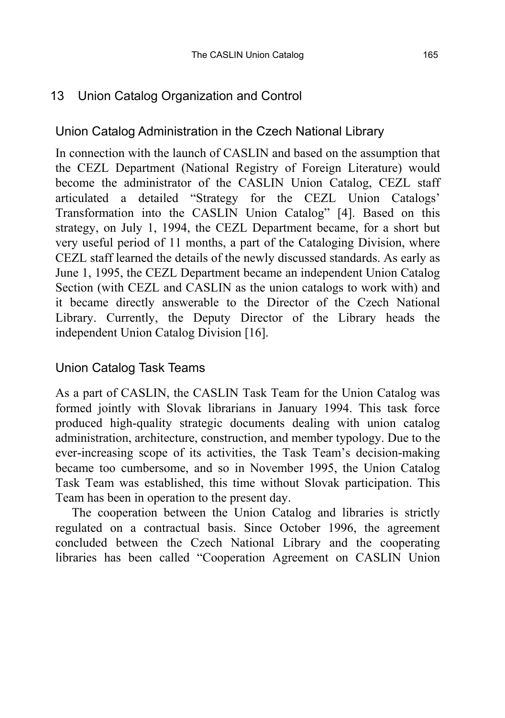### 13 Union Catalog Organization and Control

### Union Catalog Administration in the Czech National Library

In connection with the launch of CASLIN and based on the assumption that the CEZL Department (National Registry of Foreign Literature) would become the administrator of the CASLIN Union Catalog, CEZL staff articulated a detailed "Strategy for the CEZL Union Catalogs" Transformation into the CASLIN Union Catalog" [4]. Based on this strategy, on July 1, 1994, the CEZL Department became, for a short but very useful period of 11 months, a part of the Cataloging Division, where CEZL staff learned the details of the newly discussed standards. As early as June 1, 1995, the CEZL Department became an independent Union Catalog Section (with CEZL and CASLIN as the union catalogs to work with) and it became directly answerable to the Director of the Czech National Library. Currently, the Deputy Director of the Library heads the independent Union Catalog Division [16].

### Union Catalog Task Teams

As a part of CASLIN, the CASLIN Task Team for the Union Catalog was formed jointly with Slovak librarians in January 1994. This task force produced high-quality strategic documents dealing with union catalog administration, architecture, construction, and member typology. Due to the ever-increasing scope of its activities, the Task Team's decision-making became too cumbersome, and so in November 1995, the Union Catalog Task Team was established, this time without Slovak participation. This Team has been in operation to the present day.

The cooperation between the Union Catalog and libraries is strictly regulated on a contractual basis. Since October 1996, the agreement concluded between the Czech National Library and the cooperating libraries has been called "Cooperation Agreement on CASLIN Union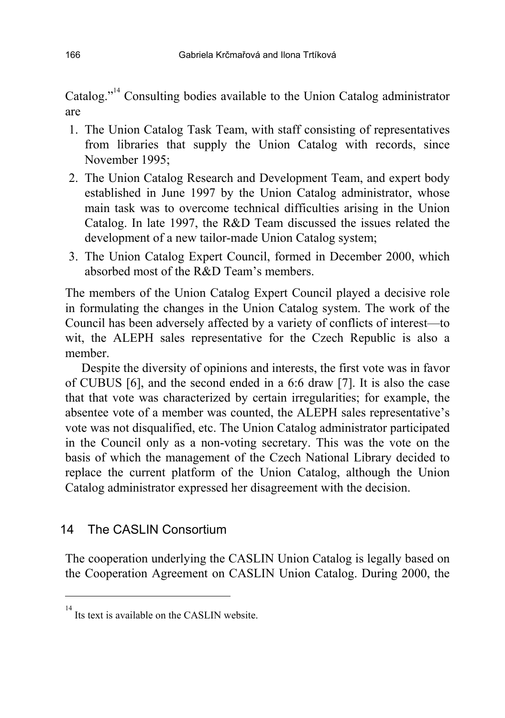Catalog.<sup> $n^{14}$ </sup> Consulting bodies available to the Union Catalog administrator are

- 1. The Union Catalog Task Team, with staff consisting of representatives from libraries that supply the Union Catalog with records, since November 1995;
- 2. The Union Catalog Research and Development Team, and expert body established in June 1997 by the Union Catalog administrator, whose main task was to overcome technical difficulties arising in the Union Catalog. In late 1997, the R&D Team discussed the issues related the development of a new tailor-made Union Catalog system;
- 3. The Union Catalog Expert Council, formed in December 2000, which absorbed most of the  $R&D$  Team's members.

The members of the Union Catalog Expert Council played a decisive role in formulating the changes in the Union Catalog system. The work of the Council has been adversely affected by a variety of conflicts of interest—to wit, the ALEPH sales representative for the Czech Republic is also a member.

Despite the diversity of opinions and interests, the first vote was in favor of CUBUS [6], and the second ended in a 6:6 draw [7]. It is also the case that that vote was characterized by certain irregularities; for example, the absentee vote of a member was counted, the ALEPH sales representative's vote was not disqualified, etc. The Union Catalog administrator participated in the Council only as a non-voting secretary. This was the vote on the basis of which the management of the Czech National Library decided to replace the current platform of the Union Catalog, although the Union Catalog administrator expressed her disagreement with the decision.

### 14 The CASLIN Consortium

l

The cooperation underlying the CASLIN Union Catalog is legally based on the Cooperation Agreement on CASLIN Union Catalog. During 2000, the

<sup>14</sup> Its text is available on the CASLIN website.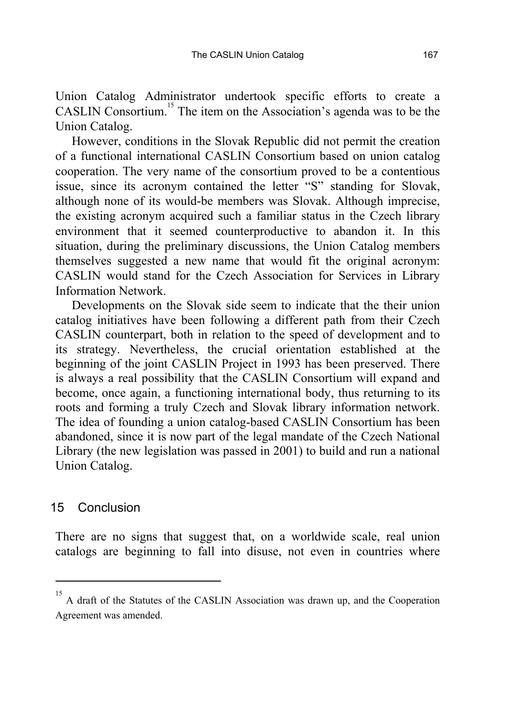Union Catalog Administrator undertook specific efforts to create a CASLIN Consortium.<sup>15</sup> The item on the Association's agenda was to be the Union Catalog.

However, conditions in the Slovak Republic did not permit the creation of a functional international CASLIN Consortium based on union catalog cooperation. The very name of the consortium proved to be a contentious issue, since its acronym contained the letter "S" standing for Slovak, although none of its would-be members was Slovak. Although imprecise, the existing acronym acquired such a familiar status in the Czech library environment that it seemed counterproductive to abandon it. In this situation, during the preliminary discussions, the Union Catalog members themselves suggested a new name that would fit the original acronym: CASLIN would stand for the Czech Association for Services in Library Information Network.

Developments on the Slovak side seem to indicate that the their union catalog initiatives have been following a different path from their Czech CASLIN counterpart, both in relation to the speed of development and to its strategy. Nevertheless, the crucial orientation established at the beginning of the joint CASLIN Project in 1993 has been preserved. There is always a real possibility that the CASLIN Consortium will expand and become, once again, a functioning international body, thus returning to its roots and forming a truly Czech and Slovak library information network. The idea of founding a union catalog-based CASLIN Consortium has been abandoned, since it is now part of the legal mandate of the Czech National Library (the new legislation was passed in 2001) to build and run a national Union Catalog.

#### 15 Conclusion

 $\overline{a}$ 

There are no signs that suggest that, on a worldwide scale, real union catalogs are beginning to fall into disuse, not even in countries where

<sup>15</sup> A draft of the Statutes of the CASLIN Association was drawn up, and the Cooperation Agreement was amended.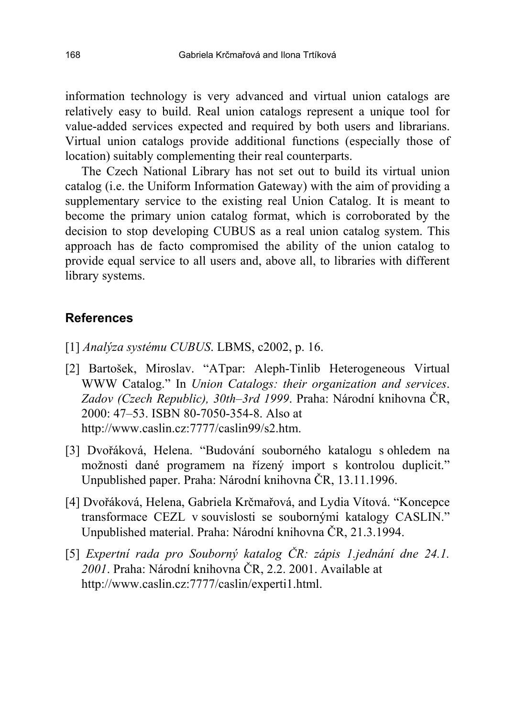information technology is very advanced and virtual union catalogs are relatively easy to build. Real union catalogs represent a unique tool for value-added services expected and required by both users and librarians. Virtual union catalogs provide additional functions (especially those of location) suitably complementing their real counterparts.

The Czech National Library has not set out to build its virtual union catalog (i.e. the Uniform Information Gateway) with the aim of providing a supplementary service to the existing real Union Catalog. It is meant to become the primary union catalog format, which is corroborated by the decision to stop developing CUBUS as a real union catalog system. This approach has de facto compromised the ability of the union catalog to provide equal service to all users and, above all, to libraries with different library systems.

#### **References**

- [1] *Anal˝za systÈmu CUBUS*. LBMS, c2002, p. 16.
- [2] Bartošek, Miroslav. "ATpar: Aleph-Tinlib Heterogeneous Virtual WWW Catalog." In *Union Catalogs: their organization and services*. Zadov (Czech Republic), 30th-3rd 1999. Praha: Národní knihovna ČR, 2000: 47–53. ISBN 80-7050-354-8. Also at http://www.caslin.cz:7777/caslin99/s2.htm.
- [3] Dvořáková, Helena. "Budování souborného katalogu s ohledem na možnosti dané programem na řízený import s kontrolou duplicit. Unpublished paper. Praha: Národní knihovna ČR, 13.11.1996.
- [4] Dvořáková, Helena, Gabriela Krčmařová, and Lydia Vítová. "Koncepce transformace CEZL v souvislosti se soubornými katalogy CASLIN.<sup>77</sup> Unpublished material. Praha: Národní knihovna ČR, 21.3.1994.
- [5] *ExpertnÌ rada pro Souborn˝ katalog ČR: z·pis 1.jedn·nÌ dne 24.1.*  2001. Praha: Národní knihovna ČR, 2.2. 2001. Available at http://www.caslin.cz:7777/caslin/experti1.html.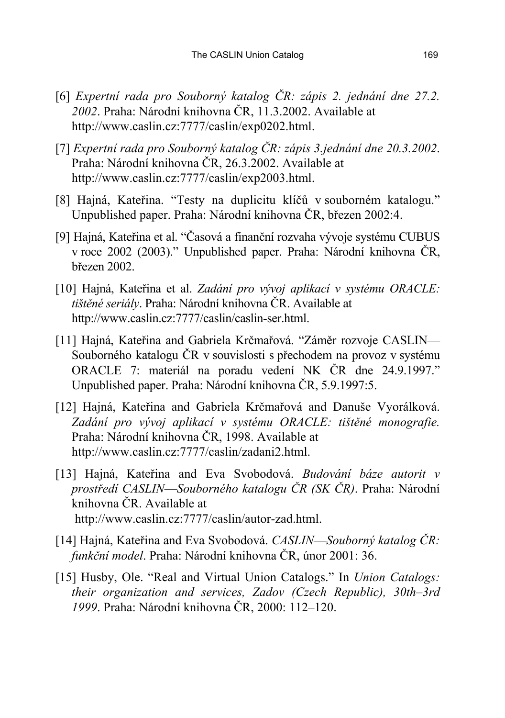- [6] *ExpertnÌ rada pro Souborn˝ katalog ČR: z·pis 2. jedn·nÌ dne 27.2.*  2002. Praha: Národní knihovna ČR, 11.3.2002. Available at http://www.caslin.cz:7777/caslin/exp0202.html.
- [7] *ExpertnÌ rada pro Souborn˝ katalog ČR: z·pis 3.jedn·nÌ dne 20.3.2002*. Praha: Národní knihovna ČR, 26.3.2002. Available at http://www.caslin.cz:7777/caslin/exp2003.html.
- [8] Hajná, Kateřina. "Testy na duplicitu klíčů v souborném katalogu." Unpublished paper. Praha: Národní knihovna ČR, březen 2002:4.
- [9] Hajná, Kateřina et al. "Časová a finanční rozvaha vývoje systému CUBUS v roce 2002 (2003)." Unpublished paper. Praha: Národní knihovna ČR, březen 2002.
- [10] Hajná, Kateřina et al. *Zadání pro vývoj aplikací v systému ORACLE*: *tištěné seriály*. Praha: Národní knihovna ČR. Available at http://www.caslin.cz:7777/caslin/caslin-ser.html.
- [11] Hajná, Kateřina and Gabriela Krčmařová. "Záměr rozvoje CASLIN-Souborného katalogu ČR v souvislosti s přechodem na provoz v systému ORACLE 7: materiál na poradu vedení NK ČR dne 24.9.1997." Unpublished paper. Praha: Národní knihovna ČR, 5.9.1997:5.
- [12] Hajná, Kateřina and Gabriela Krčmařová and Danuše Vyorálková. *Zad·nÌ pro v˝voj aplikacÌ v systÈmu ORACLE: tiötěnÈ monografie.* Praha: Národní knihovna ČR, 1998. Available at http://www.caslin.cz:7777/caslin/zadani2.html.
- [13] Hajná, Kateřina and Eva Svobodová. *Budování báze autorit v prostředÌ CASLIN*ó*SoubornÈho katalogu ČR (SK ČR)*. Praha: N·rodnÌ knihovna ČR. Available at http://www.caslin.cz:7777/caslin/autor-zad.html.
- [14] Hajná, Kateřina and Eva Svobodová. *CASLIN–Souborný katalog ČR*: *funkční model*. Praha: Národní knihovna ČR, únor 2001: 36.
- [15] Husby, Ole. "Real and Virtual Union Catalogs." In *Union Catalogs: their organization and services, Zadov (Czech Republic), 30th–3rd 1999*. Praha: Národní knihovna ČR, 2000: 112–120.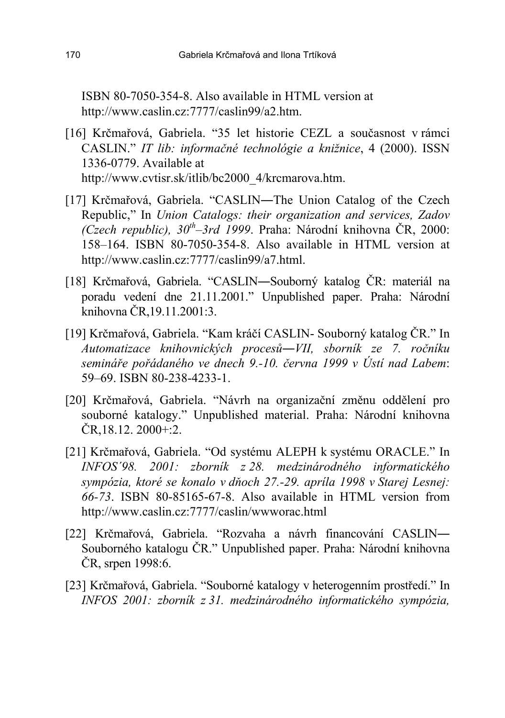ISBN 80-7050-354-8. Also available in HTML version at http://www.caslin.cz:7777/caslin99/a2.htm.

- [16] Krčmařová, Gabriela. "35 let historie CEZL a současnost v rámci CASLIN." *IT lib: informačné technológie a knižnice*, 4 (2000). ISSN 1336-0779. Available at http://www.cvtisr.sk/itlib/bc2000\_4/krcmarova.htm.
- [17] Krčmařová, Gabriela. "CASLIN—The Union Catalog of the Czech Republic," In *Union Catalogs: their organization and services, Zadov (Czech republic), 30<sup>th</sup>–3rd 1999.* Praha: Národní knihovna ČR, 2000:  $158-164$ . ISBN 80-7050-354-8. Also available in HTML version at http://www.caslin.cz:7777/caslin99/a7.html.
- [18] Krčmařová, Gabriela. "CASLIN-Souborný katalog ČR: materiál na poradu vedení dne 21.11.2001." Unpublished paper. Praha: Národní knihovna ČR,19.11.2001:3.
- [19] Krčmařová, Gabriela. "Kam kráčí CASLIN- Souborný katalog ČR." In *Automatizace knihovnick˝ch procesů*―*VII, sbornÌk ze 7. ročnÌku semin·ře poř·danÈho ve dnech 9.-10. června 1999 v ⁄stÌ nad Labem*: 59–69. ISBN 80-238-4233-1.
- [20] Krčmařová, Gabriela. "Návrh na organizační změnu oddělení pro souborné katalogy." Unpublished material. Praha: Národní knihovna  $\text{CR}, 18.12.2000 \div 2.2$
- [21] Krčmařová, Gabriela. "Od systému ALEPH k systému ORACLE." In *INFOS'98. 2001: zborník z 28. medzinárodného informatického sympÛzia, ktorÈ se konalo v dňoch 27.-29. aprÌla 1998 v Starej Lesnej: 66-73*. ISBN 80-85165-67-8. Also available in HTML version from http://www.caslin.cz:7777/caslin/wwworac.html
- [22] Krčmařová, Gabriela. "Rozvaha a návrh financování CASLIN-Souborného katalogu ČR." Unpublished paper. Praha: Národní knihovna ČR, srpen 1998:6.
- [23] Krčmařová, Gabriela. "Souborné katalogy v heterogenním prostředí." In *INFOS 2001: zborník z 31. medzinárodného informatického sympózia,*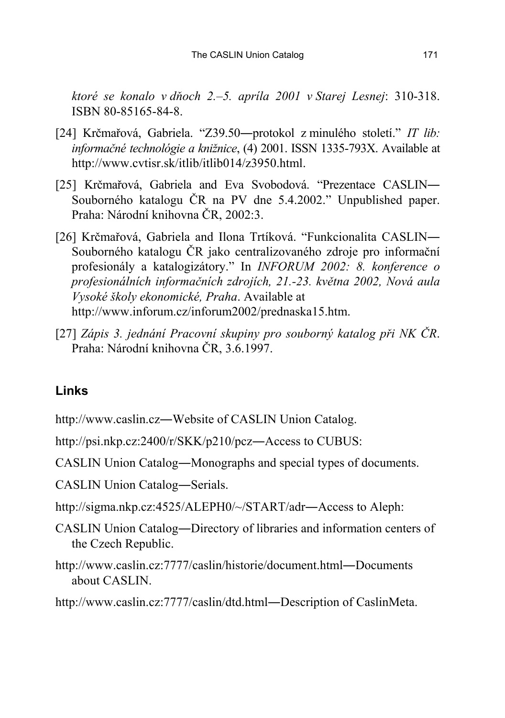*ktorÈ se konalo v dňoch 2.ñ5. aprÌla 2001 v Starej Lesnej*: 310-318. ISBN 80-85165-84-8.

- [24] Krčmařová, Gabriela. "Z39.50-protokol z minulého století." IT lib: *informačné technológie a knižnice*, (4) 2001. ISSN 1335-793X. Available at http://www.cvtisr.sk/itlib/itlib014/z3950.html.
- [25] Krčmařová, Gabriela and Eva Svobodová. "Prezentace CASLIN— Souborného katalogu ČR na PV dne 5.4.2002." Unpublished paper. Praha: Národní knihovna ČR, 2002:3.
- [26] Krčmařová, Gabriela and Ilona Trtíková. "Funkcionalita CASLIN— Souborného katalogu ČR jako centralizovaného zdroje pro informační profesionály a katalogizátory." In *INFORUM 2002: 8. konference o profesion·lnÌch informačnÌch zdrojÌch, 21.-23. května 2002, Nov· aula VysokÈ ökoly ekonomickÈ, Praha*. Available at http://www.inforum.cz/inforum2002/prednaska15.htm.
- [27] *Z·pis 3. jedn·nÌ PracovnÌ skupiny pro souborn˝ katalog při NK ČR*. Praha: Národní knihovna ČR, 3.6.1997.

#### **Links**

http://www.caslin.cz―Website of CASLIN Union Catalog.

http://psi.nkp.cz:2400/r/SKK/p210/pcz―Access to CUBUS:

CASLIN Union Catalog―Monographs and special types of documents.

CASLIN Union Catalog―Serials.

- http://sigma.nkp.cz:4525/ALEPH0/~/START/adr―Access to Aleph:
- CASLIN Union Catalog―Directory of libraries and information centers of the Czech Republic.
- http://www.caslin.cz:7777/caslin/historie/document.html―Documents about CASLIN.

http://www.caslin.cz:7777/caslin/dtd.html―Description of CaslinMeta.